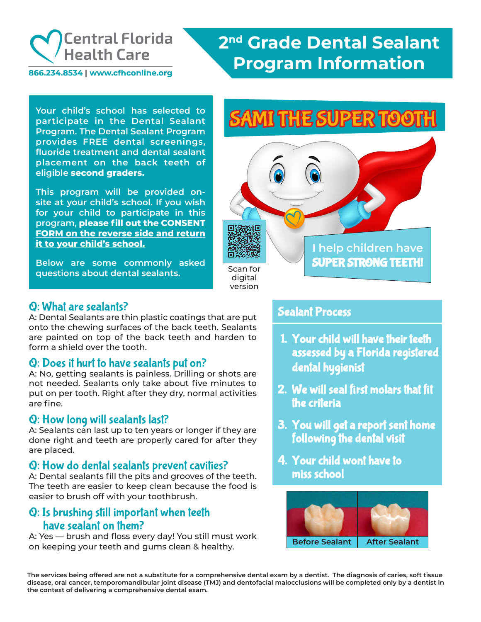

866.234.8534 | www.cfhconline.org

## **2nd Grade Dental Sealant Program Information**

**participate in the Dental Sealant Program. The Dental Sealant Program provides FREE dental screenings, fluoride treatment and dental sealant placement on the back teeth of eligible second graders.**

**This program will be provided onsite at your child's school. If you wish for your child to participate in this program, please fill out the CONSENT FORM on the reverse side and return it to your child's school.**

**Below are some commonly asked questions about dental sealants.**

# Your child's school has selected to **SAMI THE SUPER TOOTH**



### Q: What are sealants?

A: Dental Sealants are thin plastic coatings that are put onto the chewing surfaces of the back teeth. Sealants are painted on top of the back teeth and harden to form a shield over the tooth.

### Q: Does it hurt to have sealants put on?

A: No, getting sealants is painless. Drilling or shots are not needed. Sealants only take about five minutes to put on per tooth. Right after they dry, normal activities are fine.

#### Q: How long will sealants last?

A: Sealants can last up to ten years or longer if they are done right and teeth are properly cared for after they are placed.

#### Q: How do dental sealants prevent cavities?

A: Dental sealants fill the pits and grooves of the teeth. The teeth are easier to keep clean because the food is easier to brush off with your toothbrush.

#### Q: Is brushing still important when teeth have sealant on them?

A: Yes — brush and floss every day! You still must work on keeping your teeth and gums clean & healthy.

#### Sealant Process

- 1. Your child will have their teeth assessed by a Florida registered dental hygienist
- 2. We will seal first molars that fit the criteria
- 3. You will get a report sent home following the dental visit
- 4. Your child wont have to miss school



**The services being offered are not a substitute for a comprehensive dental exam by a dentist. The diagnosis of caries, soft tissue disease, oral cancer, temporomandibular joint disease (TMJ) and dentofacial malocclusions will be completed only by a dentist in the context of delivering a comprehensive dental exam.**